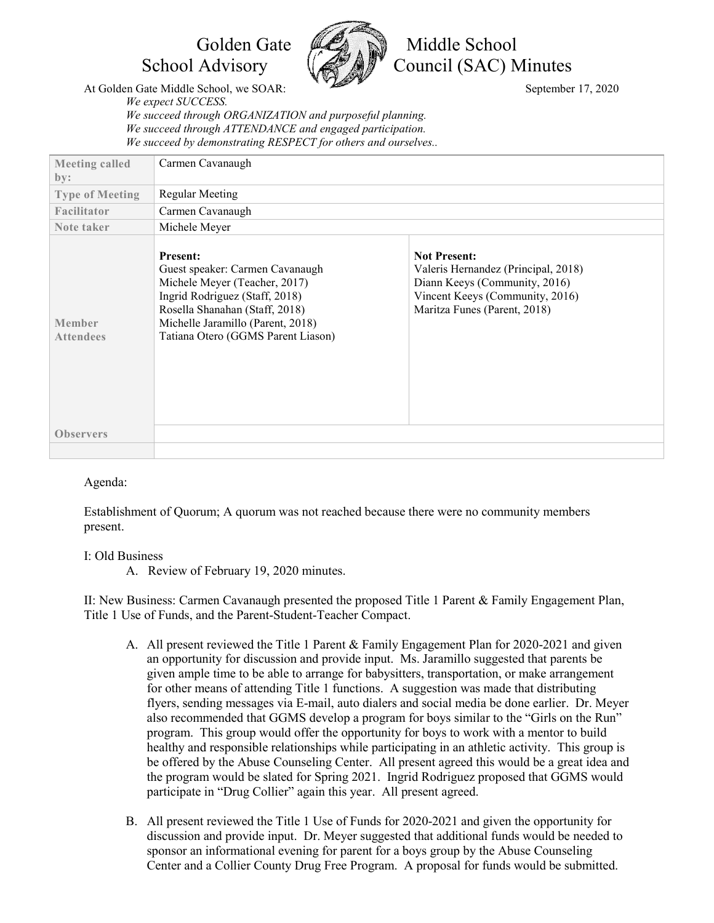

Golden Gate **MA** Niddle School School Advisory  $\left(\sqrt{\mathcal{N}}\right)^{n}$  Council (SAC) Minutes

At Golden Gate Middle School, we SOAR: September 17, 2020 *We expect SUCCESS. We succeed through ORGANIZATION and purposeful planning. We succeed through ATTENDANCE and engaged participation. We succeed by demonstrating RESPECT for others and ourselves..*

| <b>Meeting called</b><br>by: | Carmen Cavanaugh                                                                                                                                                                                                                   |                                                                                                                                                                |
|------------------------------|------------------------------------------------------------------------------------------------------------------------------------------------------------------------------------------------------------------------------------|----------------------------------------------------------------------------------------------------------------------------------------------------------------|
| <b>Type of Meeting</b>       | <b>Regular Meeting</b>                                                                                                                                                                                                             |                                                                                                                                                                |
| Facilitator                  | Carmen Cavanaugh                                                                                                                                                                                                                   |                                                                                                                                                                |
| Note taker                   | Michele Meyer                                                                                                                                                                                                                      |                                                                                                                                                                |
| Member<br><b>Attendees</b>   | <b>Present:</b><br>Guest speaker: Carmen Cavanaugh<br>Michele Meyer (Teacher, 2017)<br>Ingrid Rodriguez (Staff, 2018)<br>Rosella Shanahan (Staff, 2018)<br>Michelle Jaramillo (Parent, 2018)<br>Tatiana Otero (GGMS Parent Liason) | <b>Not Present:</b><br>Valeris Hernandez (Principal, 2018)<br>Diann Keeys (Community, 2016)<br>Vincent Keeys (Community, 2016)<br>Maritza Funes (Parent, 2018) |
| <b>Observers</b>             |                                                                                                                                                                                                                                    |                                                                                                                                                                |
|                              |                                                                                                                                                                                                                                    |                                                                                                                                                                |

## Agenda:

Establishment of Quorum; A quorum was not reached because there were no community members present.

## I: Old Business

A. Review of February 19, 2020 minutes.

II: New Business: Carmen Cavanaugh presented the proposed Title 1 Parent & Family Engagement Plan, Title 1 Use of Funds, and the Parent-Student-Teacher Compact.

- A. All present reviewed the Title 1 Parent & Family Engagement Plan for 2020-2021 and given an opportunity for discussion and provide input. Ms. Jaramillo suggested that parents be given ample time to be able to arrange for babysitters, transportation, or make arrangement for other means of attending Title 1 functions. A suggestion was made that distributing flyers, sending messages via E-mail, auto dialers and social media be done earlier. Dr. Meyer also recommended that GGMS develop a program for boys similar to the "Girls on the Run" program. This group would offer the opportunity for boys to work with a mentor to build healthy and responsible relationships while participating in an athletic activity. This group is be offered by the Abuse Counseling Center. All present agreed this would be a great idea and the program would be slated for Spring 2021. Ingrid Rodriguez proposed that GGMS would participate in "Drug Collier" again this year. All present agreed.
- B. All present reviewed the Title 1 Use of Funds for 2020-2021 and given the opportunity for discussion and provide input. Dr. Meyer suggested that additional funds would be needed to sponsor an informational evening for parent for a boys group by the Abuse Counseling Center and a Collier County Drug Free Program. A proposal for funds would be submitted.